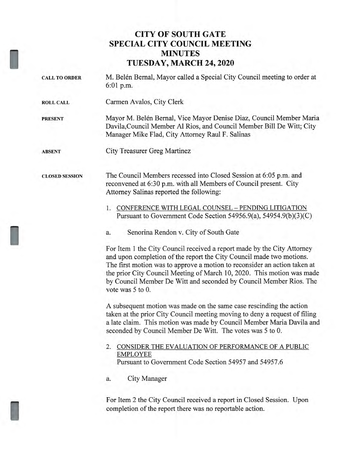## **CITY OF SOUTH GATE SPECIAL CITY COUNCIL MEETING MINUTES TUESDAY, MARCH 24, 2020**

**CALL TO ORDER** M. Belen Bernal, Mayor called a Special City Council meeting to order at 6:01 p.m. **ROLL CALL** Carmen Avalos, City Clerk **PRESENT** Mayor M. Belén Bernal, Vice Mayor Denise Diaz, Council Member Maria Davila,Council Member Al Rios, and Council Member Bill De Witt; City Manager Mike Flad, City Attorney Raul F. Salinas **ABSENT** City Treasurer Greg Martinez **CLOSED SESSION** The Council Members recessed into Closed Session at 6:05 p.m. and reconvened at 6:30 p.m. with all Members of Council present. City Attorney Salinas reported the following: 1. CONFERENCE WITH LEGAL COUNSEL — PENDING LITIGATION Pursuant to Government Code Section 54956.9(a), 54954.9(b)(3)(C) a. Senorina Rendon v. City of South Gate For Item 1 the City Council received a report made by the City Attorney and upon completion of the report the City Council made two motions. The first motion was to approve a motion to reconsider an action taken at the prior City Council Meeting of March 10, 2020. This motion was made by Council Member De Witt and seconded by Council Member Rios. The vote was 5 to 0. A subsequent motion was made on the same case rescinding the action taken at the prior City Council meeting moving to deny a request of filing a late claim. This motion was made by Council Member Maria Davila and seconded by Council Member De Witt. The votes was 5 to 0. 2. CONSIDER THE EVALUATION OF PERFORMANCE OF A PUBLIC EMPLOYEE Pursuant to Government Code Section 54957 and 54957.6 a. City Manager

For Item 2 the City Council received a report in Closed Session. Upon completion of the report there was no reportable action.